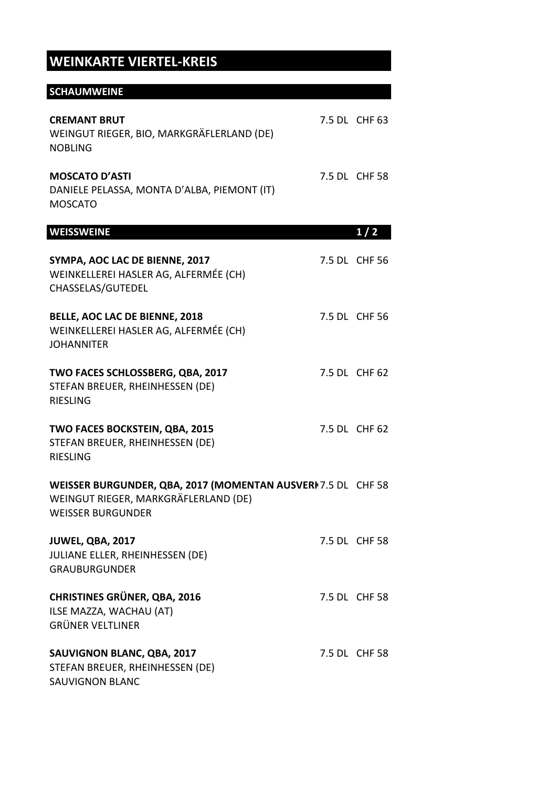## **WEINKARTE VIERTEL-KREIS**

| <b>SCHAUMWEINE</b>                                                                                                              |               |
|---------------------------------------------------------------------------------------------------------------------------------|---------------|
| <b>CREMANT BRUT</b><br>WEINGUT RIEGER, BIO, MARKGRÄFLERLAND (DE)<br><b>NOBLING</b>                                              | 7.5 DL CHF 63 |
| <b>MOSCATO D'ASTI</b><br>DANIELE PELASSA, MONTA D'ALBA, PIEMONT (IT)<br><b>MOSCATO</b>                                          | 7.5 DL CHF 58 |
| WEISSWEINE                                                                                                                      | 1/2           |
| SYMPA, AOC LAC DE BIENNE, 2017<br>WEINKELLEREI HASLER AG, ALFERMÉE (CH)<br>CHASSELAS/GUTEDEL                                    | 7.5 DL CHF 56 |
| BELLE, AOC LAC DE BIENNE, 2018<br>WEINKELLEREI HASLER AG, ALFERMÉE (CH)<br><b>JOHANNITER</b>                                    | 7.5 DL CHF 56 |
| TWO FACES SCHLOSSBERG, QBA, 2017<br>STEFAN BREUER, RHEINHESSEN (DE)<br><b>RIESLING</b>                                          | 7.5 DL CHF 62 |
| TWO FACES BOCKSTEIN, QBA, 2015<br>STEFAN BREUER, RHEINHESSEN (DE)<br><b>RIESLING</b>                                            | 7.5 DL CHF 62 |
| WEISSER BURGUNDER, QBA, 2017 (MOMENTAN AUSVERK7.5 DL CHF 58<br>WEINGUT RIEGER, MARKGRÄFLERLAND (DE)<br><b>WEISSER BURGUNDER</b> |               |
| JUWEL, QBA, 2017<br>JULIANE ELLER, RHEINHESSEN (DE)<br><b>GRAUBURGUNDER</b>                                                     | 7.5 DL CHF 58 |
| <b>CHRISTINES GRÜNER, QBA, 2016</b><br>ILSE MAZZA, WACHAU (AT)<br><b>GRÜNER VELTLINER</b>                                       | 7.5 DL CHF 58 |
| SAUVIGNON BLANC, QBA, 2017<br>STEFAN BREUER, RHEINHESSEN (DE)<br><b>SAUVIGNON BLANC</b>                                         | 7.5 DL CHF 58 |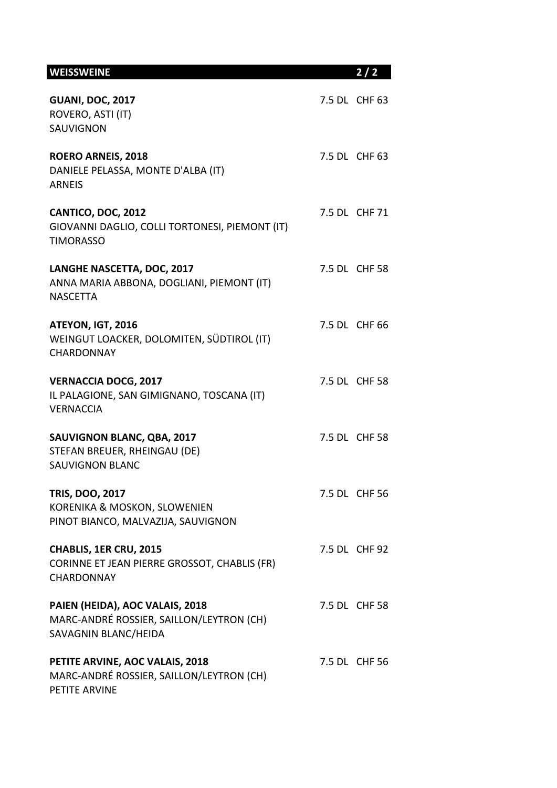| <b>WEISSWEINE</b>                                                                                   | 2/2           |
|-----------------------------------------------------------------------------------------------------|---------------|
| <b>GUANI, DOC, 2017</b><br>ROVERO, ASTI (IT)<br><b>SAUVIGNON</b>                                    | 7.5 DL CHF 63 |
| <b>ROERO ARNEIS, 2018</b><br>DANIELE PELASSA, MONTE D'ALBA (IT)<br><b>ARNEIS</b>                    | 7.5 DL CHF 63 |
| CANTICO, DOC, 2012<br>GIOVANNI DAGLIO, COLLI TORTONESI, PIEMONT (IT)<br><b>TIMORASSO</b>            | 7.5 DL CHF 71 |
| LANGHE NASCETTA, DOC, 2017<br>ANNA MARIA ABBONA, DOGLIANI, PIEMONT (IT)<br><b>NASCETTA</b>          | 7.5 DL CHF 58 |
| ATEYON, IGT, 2016<br>WEINGUT LOACKER, DOLOMITEN, SÜDTIROL (IT)<br><b>CHARDONNAY</b>                 | 7.5 DL CHF 66 |
| <b>VERNACCIA DOCG, 2017</b><br>IL PALAGIONE, SAN GIMIGNANO, TOSCANA (IT)<br><b>VERNACCIA</b>        | 7.5 DL CHF 58 |
| <b>SAUVIGNON BLANC, QBA, 2017</b><br>STEFAN BREUER, RHEINGAU (DE)<br><b>SAUVIGNON BLANC</b>         | 7.5 DL CHF 58 |
| <b>TRIS, DOO, 2017</b><br>KORENIKA & MOSKON, SLOWENIEN<br>PINOT BIANCO, MALVAZIJA, SAUVIGNON        | 7.5 DL CHF 56 |
| CHABLIS, 1ER CRU, 2015<br>CORINNE ET JEAN PIERRE GROSSOT, CHABLIS (FR)<br><b>CHARDONNAY</b>         | 7.5 DL CHF 92 |
| PAIEN (HEIDA), AOC VALAIS, 2018<br>MARC-ANDRÉ ROSSIER, SAILLON/LEYTRON (CH)<br>SAVAGNIN BLANC/HEIDA | 7.5 DL CHF 58 |
| PETITE ARVINE, AOC VALAIS, 2018<br>MARC-ANDRÉ ROSSIER, SAILLON/LEYTRON (CH)<br>PETITE ARVINE        | 7.5 DL CHF 56 |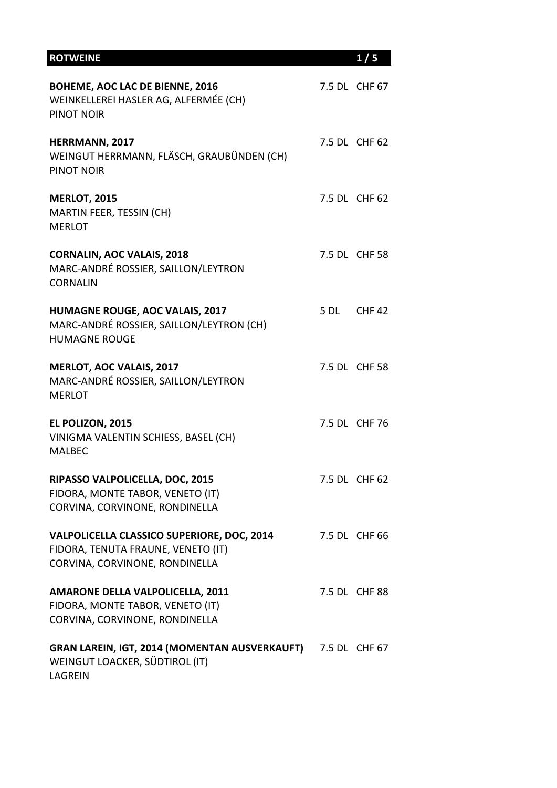## **ROTWEINE 1/5**

| BOHEME, AOC LAC DE BIENNE, 2016<br>WEINKELLEREI HASLER AG, ALFERMÉE (CH)<br>PINOT NOIR                                    | 7.5 DL CHF 67 |
|---------------------------------------------------------------------------------------------------------------------------|---------------|
| HERRMANN, 2017<br>WEINGUT HERRMANN, FLÄSCH, GRAUBÜNDEN (CH)<br>PINOT NOIR                                                 | 7.5 DL CHF 62 |
| <b>MERLOT, 2015</b><br>MARTIN FEER, TESSIN (CH)<br><b>MERLOT</b>                                                          | 7.5 DL CHF 62 |
| <b>CORNALIN, AOC VALAIS, 2018</b><br>MARC-ANDRÉ ROSSIER, SAILLON/LEYTRON<br><b>CORNALIN</b>                               | 7.5 DL CHF 58 |
| HUMAGNE ROUGE, AOC VALAIS, 2017<br>MARC-ANDRÉ ROSSIER, SAILLON/LEYTRON (CH)<br><b>HUMAGNE ROUGE</b>                       | 5 DL CHF 42   |
| MERLOT, AOC VALAIS, 2017<br>MARC-ANDRÉ ROSSIER, SAILLON/LEYTRON<br><b>MERLOT</b>                                          | 7.5 DL CHF 58 |
| EL POLIZON, 2015<br>VINIGMA VALENTIN SCHIESS, BASEL (CH)<br><b>MALBEC</b>                                                 | 7.5 DL CHF 76 |
| RIPASSO VALPOLICELLA, DOC, 2015<br>FIDORA, MONTE TABOR, VENETO (IT)<br>CORVINA, CORVINONE, RONDINELLA                     | 7.5 DL CHF 62 |
| <b>VALPOLICELLA CLASSICO SUPERIORE, DOC, 2014</b><br>FIDORA, TENUTA FRAUNE, VENETO (IT)<br>CORVINA, CORVINONE, RONDINELLA | 7.5 DL CHF 66 |
| <b>AMARONE DELLA VALPOLICELLA, 2011</b><br>FIDORA, MONTE TABOR, VENETO (IT)<br>CORVINA, CORVINONE, RONDINELLA             | 7.5 DL CHF 88 |
| GRAN LAREIN, IGT, 2014 (MOMENTAN AUSVERKAUFT) 7.5 DL CHF 67<br>WEINGUT LOACKER, SÜDTIROL (IT)<br>LAGREIN                  |               |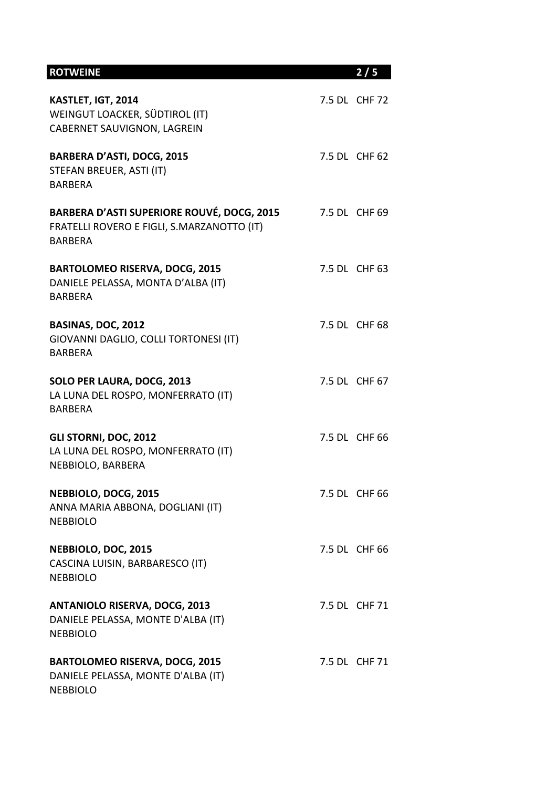| <b>ROTWEINE</b>                                                                                                   | 2/5           |
|-------------------------------------------------------------------------------------------------------------------|---------------|
| KASTLET, IGT, 2014<br>WEINGUT LOACKER, SÜDTIROL (IT)<br>CABERNET SAUVIGNON, LAGREIN                               | 7.5 DL CHF 72 |
| <b>BARBERA D'ASTI, DOCG, 2015</b><br>STEFAN BREUER, ASTI (IT)<br><b>BARBERA</b>                                   | 7.5 DL CHF 62 |
| <b>BARBERA D'ASTI SUPERIORE ROUVÉ, DOCG, 2015</b><br>FRATELLI ROVERO E FIGLI, S.MARZANOTTO (IT)<br><b>BARBERA</b> | 7.5 DL CHF 69 |
| <b>BARTOLOMEO RISERVA, DOCG, 2015</b><br>DANIELE PELASSA, MONTA D'ALBA (IT)<br><b>BARBERA</b>                     | 7.5 DL CHF 63 |
| BASINAS, DOC, 2012<br>GIOVANNI DAGLIO, COLLI TORTONESI (IT)<br><b>BARBERA</b>                                     | 7.5 DL CHF 68 |
| SOLO PER LAURA, DOCG, 2013<br>LA LUNA DEL ROSPO, MONFERRATO (IT)<br><b>BARBERA</b>                                | 7.5 DL CHF 67 |
| GLI STORNI, DOC, 2012<br>LA LUNA DEL ROSPO, MONFERRATO (IT)<br>NEBBIOLO, BARBERA                                  | 7.5 DL CHF 66 |
| NEBBIOLO, DOCG, 2015<br>ANNA MARIA ABBONA, DOGLIANI (IT)<br><b>NEBBIOLO</b>                                       | 7.5 DL CHF 66 |
| NEBBIOLO, DOC, 2015<br>CASCINA LUISIN, BARBARESCO (IT)<br><b>NEBBIOLO</b>                                         | 7.5 DL CHF 66 |
| <b>ANTANIOLO RISERVA, DOCG, 2013</b><br>DANIELE PELASSA, MONTE D'ALBA (IT)<br><b>NEBBIOLO</b>                     | 7.5 DL CHF 71 |
| <b>BARTOLOMEO RISERVA, DOCG, 2015</b><br>DANIELE PELASSA, MONTE D'ALBA (IT)<br><b>NEBBIOLO</b>                    | 7.5 DL CHF 71 |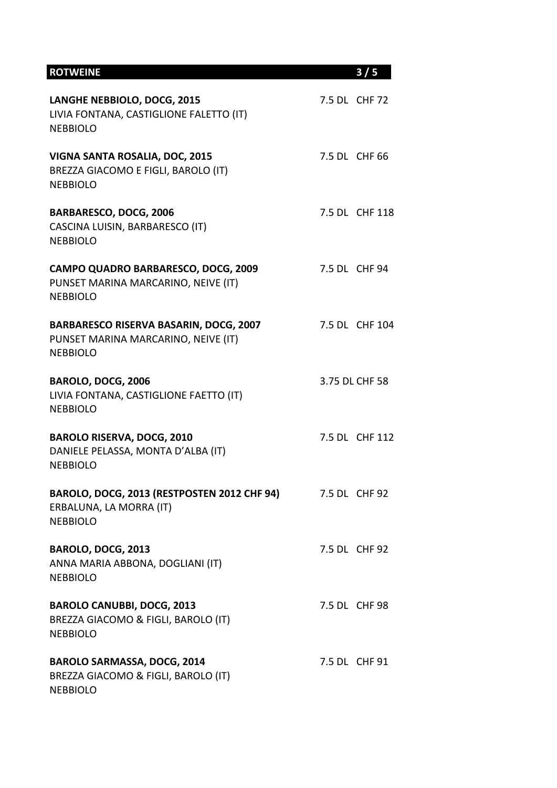| <b>ROTWEINE</b>                                                                                         | 3/5            |
|---------------------------------------------------------------------------------------------------------|----------------|
| LANGHE NEBBIOLO, DOCG, 2015<br>LIVIA FONTANA, CASTIGLIONE FALETTO (IT)<br><b>NEBBIOLO</b>               | 7.5 DL CHF 72  |
| VIGNA SANTA ROSALIA, DOC, 2015<br>BREZZA GIACOMO E FIGLI, BAROLO (IT)<br><b>NEBBIOLO</b>                | 7.5 DL CHF 66  |
| <b>BARBARESCO, DOCG, 2006</b><br>CASCINA LUISIN, BARBARESCO (IT)<br><b>NEBBIOLO</b>                     | 7.5 DL CHF 118 |
| CAMPO QUADRO BARBARESCO, DOCG, 2009<br>PUNSET MARINA MARCARINO, NEIVE (IT)<br><b>NEBBIOLO</b>           | 7.5 DL CHF 94  |
| <b>BARBARESCO RISERVA BASARIN, DOCG, 2007</b><br>PUNSET MARINA MARCARINO, NEIVE (IT)<br><b>NEBBIOLO</b> | 7.5 DL CHF 104 |
| BAROLO, DOCG, 2006<br>LIVIA FONTANA, CASTIGLIONE FAETTO (IT)<br><b>NEBBIOLO</b>                         | 3.75 DL CHF 58 |
| <b>BAROLO RISERVA, DOCG, 2010</b><br>DANIELE PELASSA, MONTA D'ALBA (IT)<br><b>NEBBIOLO</b>              | 7.5 DL CHF 112 |
| BAROLO, DOCG, 2013 (RESTPOSTEN 2012 CHF 94)<br>ERBALUNA, LA MORRA (IT)<br><b>NEBBIOLO</b>               | 7.5 DL CHF 92  |
| BAROLO, DOCG, 2013<br>ANNA MARIA ABBONA, DOGLIANI (IT)<br><b>NEBBIOLO</b>                               | 7.5 DL CHF 92  |
| <b>BAROLO CANUBBI, DOCG, 2013</b><br>BREZZA GIACOMO & FIGLI, BAROLO (IT)<br><b>NEBBIOLO</b>             | 7.5 DL CHF 98  |
| <b>BAROLO SARMASSA, DOCG, 2014</b><br>BREZZA GIACOMO & FIGLI, BAROLO (IT)<br><b>NEBBIOLO</b>            | 7.5 DL CHF 91  |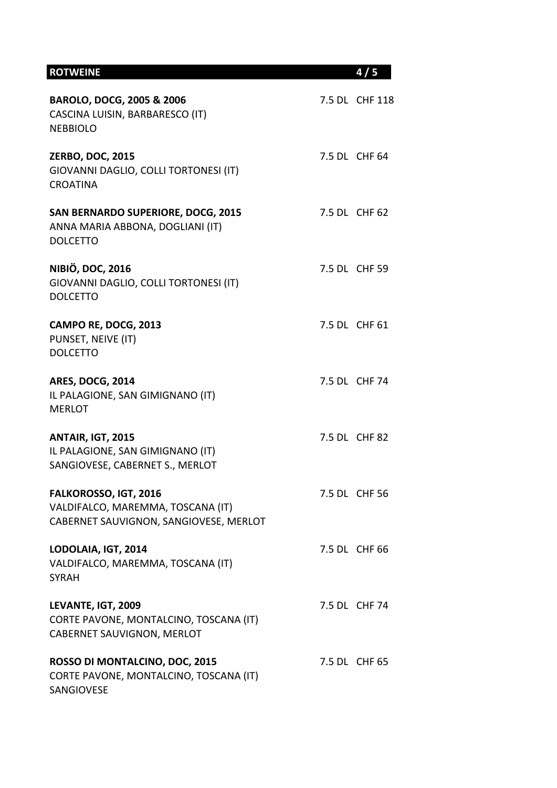| <b>ROTWEINE</b>                                                                                      | 4/5            |
|------------------------------------------------------------------------------------------------------|----------------|
| <b>BAROLO, DOCG, 2005 &amp; 2006</b><br>CASCINA LUISIN, BARBARESCO (IT)<br><b>NEBBIOLO</b>           | 7.5 DL CHF 118 |
| <b>ZERBO, DOC, 2015</b><br>GIOVANNI DAGLIO, COLLI TORTONESI (IT)<br><b>CROATINA</b>                  | 7.5 DL CHF 64  |
| SAN BERNARDO SUPERIORE, DOCG, 2015<br>ANNA MARIA ABBONA, DOGLIANI (IT)<br><b>DOLCETTO</b>            | 7.5 DL CHF 62  |
| <b>NIBIÖ, DOC, 2016</b><br>GIOVANNI DAGLIO, COLLI TORTONESI (IT)<br><b>DOLCETTO</b>                  | 7.5 DL CHF 59  |
| CAMPO RE, DOCG, 2013<br>PUNSET, NEIVE (IT)<br><b>DOLCETTO</b>                                        | 7.5 DL CHF 61  |
| ARES, DOCG, 2014<br>IL PALAGIONE, SAN GIMIGNANO (IT)<br><b>MERLOT</b>                                | 7.5 DL CHF 74  |
| ANTAIR, IGT, 2015<br>IL PALAGIONE, SAN GIMIGNANO (IT)<br>SANGIOVESE, CABERNET S., MERLOT             | 7.5 DL CHF 82  |
| FALKOROSSO, IGT, 2016<br>VALDIFALCO, MAREMMA, TOSCANA (IT)<br>CABERNET SAUVIGNON, SANGIOVESE, MERLOT | 7.5 DL CHF 56  |
| LODOLAIA, IGT, 2014<br>VALDIFALCO, MAREMMA, TOSCANA (IT)<br><b>SYRAH</b>                             | 7.5 DL CHF 66  |
| LEVANTE, IGT, 2009<br>CORTE PAVONE, MONTALCINO, TOSCANA (IT)<br>CABERNET SAUVIGNON, MERLOT           | 7.5 DL CHF 74  |
| ROSSO DI MONTALCINO, DOC, 2015<br>CORTE PAVONE, MONTALCINO, TOSCANA (IT)<br>SANGIOVESE               | 7.5 DL CHF 65  |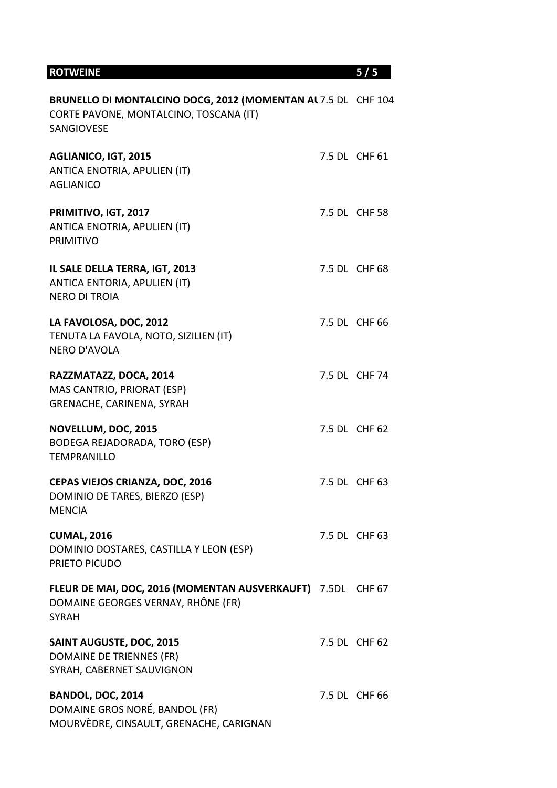## **ROTWEINE**

| BRUNELLO DI MONTALCINO DOCG, 2012 (MOMENTAN AL 7.5 DL CHF 104<br>CORTE PAVONE, MONTALCINO, TOSCANA (IT)<br><b>SANGIOVESE</b> |               |
|------------------------------------------------------------------------------------------------------------------------------|---------------|
| <b>AGLIANICO, IGT, 2015</b><br>ANTICA ENOTRIA, APULIEN (IT)<br><b>AGLIANICO</b>                                              | 7.5 DL CHF 61 |
| PRIMITIVO, IGT, 2017<br>ANTICA ENOTRIA, APULIEN (IT)<br><b>PRIMITIVO</b>                                                     | 7.5 DL CHF 58 |
| IL SALE DELLA TERRA, IGT, 2013<br>ANTICA ENTORIA, APULIEN (IT)<br><b>NERO DI TROIA</b>                                       | 7.5 DL CHF 68 |
| LA FAVOLOSA, DOC, 2012<br>TENUTA LA FAVOLA, NOTO, SIZILIEN (IT)<br><b>NERO D'AVOLA</b>                                       | 7.5 DL CHF 66 |
| RAZZMATAZZ, DOCA, 2014<br>MAS CANTRIO, PRIORAT (ESP)<br>GRENACHE, CARINENA, SYRAH                                            | 7.5 DL CHF 74 |
| NOVELLUM, DOC, 2015<br><b>BODEGA REJADORADA, TORO (ESP)</b><br>TEMPRANILLO                                                   | 7.5 DL CHF 62 |
| CEPAS VIEJOS CRIANZA, DOC, 2016<br>DOMINIO DE TARES, BIERZO (ESP)<br><b>MENCIA</b>                                           | 7.5 DL CHF 63 |
| <b>CUMAL, 2016</b><br>DOMINIO DOSTARES, CASTILLA Y LEON (ESP)<br>PRIETO PICUDO                                               | 7.5 DL CHF 63 |
| FLEUR DE MAI, DOC, 2016 (MOMENTAN AUSVERKAUFT) 7.5DL CHF 67<br>DOMAINE GEORGES VERNAY, RHÔNE (FR)<br><b>SYRAH</b>            |               |
| <b>SAINT AUGUSTE, DOC, 2015</b><br>DOMAINE DE TRIENNES (FR)<br>SYRAH, CABERNET SAUVIGNON                                     | 7.5 DL CHF 62 |
| BANDOL, DOC, 2014<br>DOMAINE GROS NORÉ, BANDOL (FR)<br>MOURVÈDRE, CINSAULT, GRENACHE, CARIGNAN                               | 7.5 DL CHF 66 |